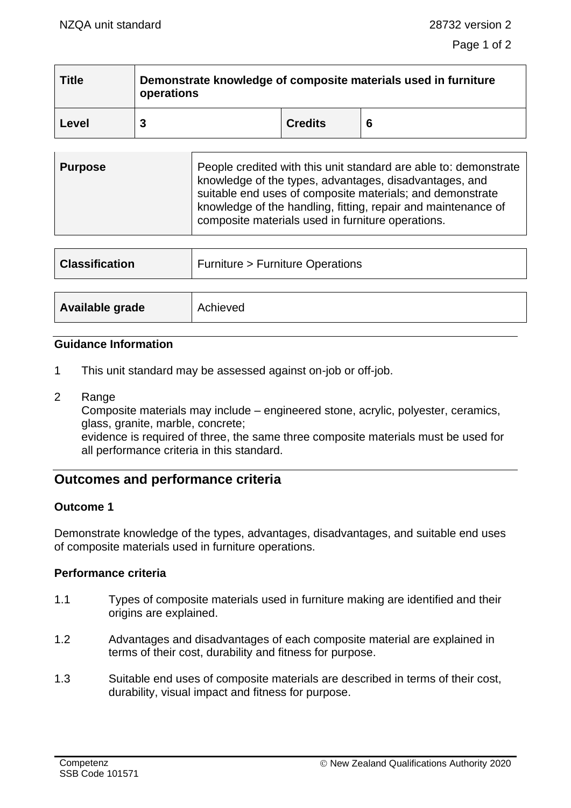| <b>Title</b> | Demonstrate knowledge of composite materials used in furniture<br>operations |                |   |
|--------------|------------------------------------------------------------------------------|----------------|---|
| Level        | 3                                                                            | <b>Credits</b> | 6 |
|              |                                                                              |                |   |

| <b>Purpose</b> | People credited with this unit standard are able to: demonstrate<br>knowledge of the types, advantages, disadvantages, and<br>suitable end uses of composite materials; and demonstrate<br>knowledge of the handling, fitting, repair and maintenance of<br>composite materials used in furniture operations. |
|----------------|---------------------------------------------------------------------------------------------------------------------------------------------------------------------------------------------------------------------------------------------------------------------------------------------------------------|
|                |                                                                                                                                                                                                                                                                                                               |

| <b>Classification</b> | <b>Furniture &gt; Furniture Operations</b> |  |
|-----------------------|--------------------------------------------|--|
|                       |                                            |  |
| Available grade       | Achieved                                   |  |

#### **Guidance Information**

- 1 This unit standard may be assessed against on-job or off-job.
- 2 Range

Composite materials may include – engineered stone, acrylic, polyester, ceramics, glass, granite, marble, concrete;

evidence is required of three, the same three composite materials must be used for all performance criteria in this standard.

# **Outcomes and performance criteria**

### **Outcome 1**

Demonstrate knowledge of the types, advantages, disadvantages, and suitable end uses of composite materials used in furniture operations.

### **Performance criteria**

- 1.1 Types of composite materials used in furniture making are identified and their origins are explained.
- 1.2 Advantages and disadvantages of each composite material are explained in terms of their cost, durability and fitness for purpose.
- 1.3 Suitable end uses of composite materials are described in terms of their cost, durability, visual impact and fitness for purpose.